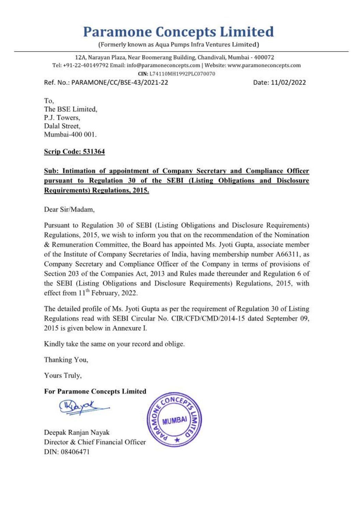# Paramone Concepts Limited **Paramone Con**

(Formerly known as Aqua Pumps Infra Ventures Limited)

To, The BSE Limited, P.J. Towers, Dalal Street, Mumbai-400 001. P.J. Towers.

12A, Narayan Plaza, Near Boomerang Building, Chandivali, Mumbai - 400072 Tel: +91-22-40149792 Email: info@paramoneconcepts.com | Website: www.paramoneconcepts.com CIN: L74110MH11992PLC070070

Ref. No.: PARAMONE/CC/BSE-43/2021-22 Date: 11/02/2022

Pursuant to Regulation 30 of SEBI (Listing Obligations and Disclosure Requirements) Regulations, 2015, we wish to inform you that on the recommendation of the Nomination & Remuneration Committee, the Board has appointed Ms. Jyoti Gupta, associate member of the Institute of Company Secretaries of India, having membership number A66311, as Company Secretary and Compliance Officer of the Company in terms of provisions of Section 203 of the Companies Act, 2013 and Rules made thereunder and Regulation 6 of the SEBI (Listing Obligations and Disclosure Requiremen effect from 11<sup>th</sup> February, 2022.

### Scrip Code: 531364

# Sub: Intimation of appointment of Company Secretary and Compliance Officer pursuant to Regulation 30 of the SEBI (Listing Obligations and Disclosure Requirements) Regulations, 2015.

Dear Sir/Madam,

The detailed profile of Ms. Jyoti Gupta as per the requirement of Regulation 30 of Listing Regulations read with SEBI Circular No. CIR/CFD/CMD/2014-15 dated September 09, 2015 is given below in Annexure I.

Kindly take the same on your record and oblige.

'Thanking You,

Yours Truly,

For Paramone Concepts Limited

# Deepak Ranjan Nayak Director & Chief Financial Officer DIN: 08406471